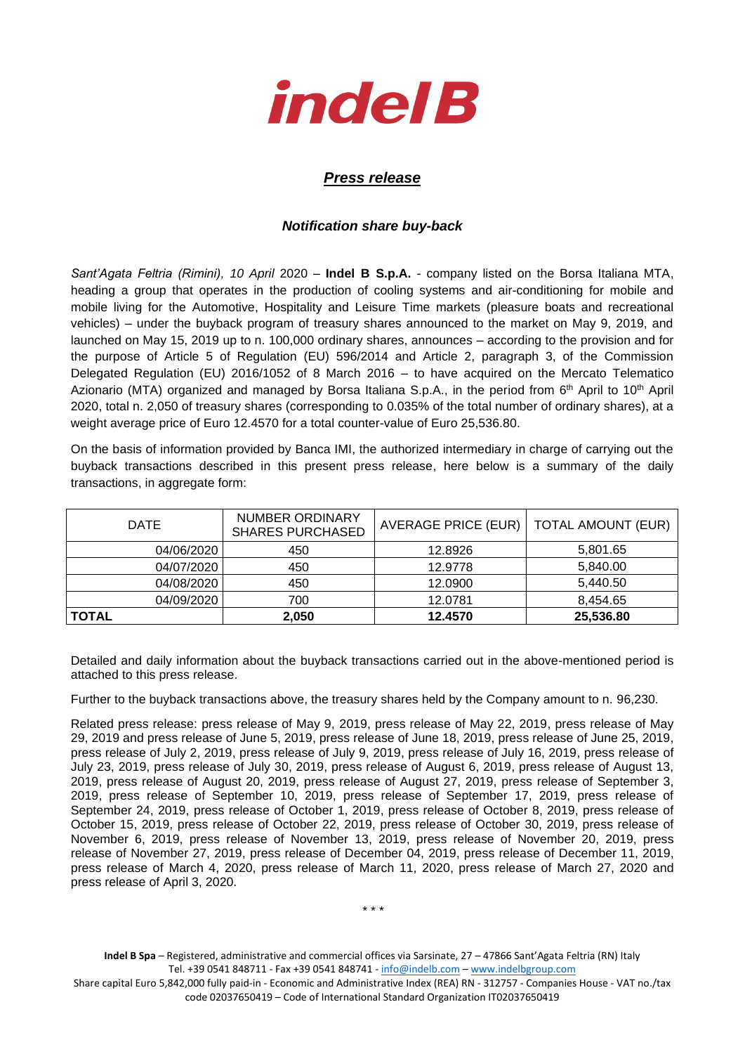

## *Press release*

## *Notification share buy-back*

*Sant'Agata Feltria (Rimini), 10 April* 2020 – **Indel B S.p.A.** - company listed on the Borsa Italiana MTA, heading a group that operates in the production of cooling systems and air-conditioning for mobile and mobile living for the Automotive, Hospitality and Leisure Time markets (pleasure boats and recreational vehicles) – under the buyback program of treasury shares announced to the market on May 9, 2019, and launched on May 15, 2019 up to n. 100,000 ordinary shares, announces – according to the provision and for the purpose of Article 5 of Regulation (EU) 596/2014 and Article 2, paragraph 3, of the Commission Delegated Regulation (EU) 2016/1052 of 8 March 2016 – to have acquired on the Mercato Telematico Azionario (MTA) organized and managed by Borsa Italiana S.p.A., in the period from 6<sup>th</sup> April to 10<sup>th</sup> April 2020, total n. 2,050 of treasury shares (corresponding to 0.035% of the total number of ordinary shares), at a weight average price of Euro 12.4570 for a total counter-value of Euro 25,536.80.

On the basis of information provided by Banca IMI, the authorized intermediary in charge of carrying out the buyback transactions described in this present press release, here below is a summary of the daily transactions, in aggregate form:

| DATE         | <b>NUMBER ORDINARY</b><br><b>SHARES PURCHASED</b> |         | AVERAGE PRICE (EUR)  <br><b>TOTAL AMOUNT (EUR)</b> |  |
|--------------|---------------------------------------------------|---------|----------------------------------------------------|--|
| 04/06/2020   | 450                                               | 12.8926 | 5,801.65                                           |  |
| 04/07/2020   | 450                                               | 12.9778 | 5,840.00                                           |  |
| 04/08/2020   | 450                                               | 12.0900 | 5,440.50                                           |  |
| 04/09/2020   | 700                                               | 12.0781 | 8.454.65                                           |  |
| <b>TOTAL</b> | 2,050                                             | 12.4570 | 25,536.80                                          |  |

Detailed and daily information about the buyback transactions carried out in the above-mentioned period is attached to this press release.

Further to the buyback transactions above, the treasury shares held by the Company amount to n. 96,230.

Related press release: press release of May 9, 2019, press release of May 22, 2019, press release of May 29, 2019 and press release of June 5, 2019, press release of June 18, 2019, press release of June 25, 2019, press release of July 2, 2019, press release of July 9, 2019, press release of July 16, 2019, press release of July 23, 2019, press release of July 30, 2019, press release of August 6, 2019, press release of August 13, 2019, press release of August 20, 2019, press release of August 27, 2019, press release of September 3, 2019, press release of September 10, 2019, press release of September 17, 2019, press release of September 24, 2019, press release of October 1, 2019, press release of October 8, 2019, press release of October 15, 2019, press release of October 22, 2019, press release of October 30, 2019, press release of November 6, 2019, press release of November 13, 2019, press release of November 20, 2019, press release of November 27, 2019, press release of December 04, 2019, press release of December 11, 2019, press release of March 4, 2020, press release of March 11, 2020, press release of March 27, 2020 and press release of April 3, 2020.

\* \* \*

**Indel B Spa** – Registered, administrative and commercial offices via Sarsinate, 27 – 47866 Sant'Agata Feltria (RN) Italy Tel. +39 0541 848711 - Fax +39 0541 848741 - [info@indelb.com](mailto:info@indelb.com) – [www.indelbgroup.com](http://www.indelbgroup.com/)

Share capital Euro 5,842,000 fully paid-in - Economic and Administrative Index (REA) RN - 312757 - Companies House - VAT no./tax code 02037650419 – Code of International Standard Organization IT02037650419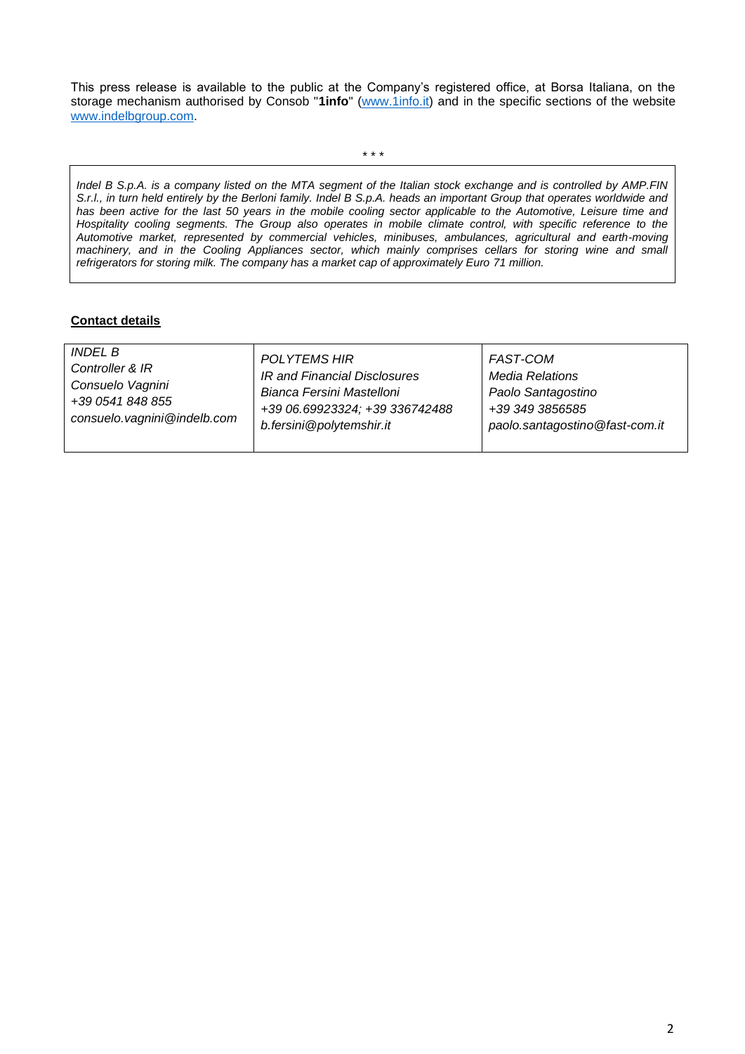This press release is available to the public at the Company's registered office, at Borsa Italiana, on the storage mechanism authorised by Consob "**1info**" [\(www.1info.it\)](file:///C:/Users/ddelietovollaro/AppData/Local/Microsoft/Windows/INetCache/Content.Outlook/T87B94UR/www.1info.it) and in the specific sections of the website [www.indelbgroup.com.](http://www.indelbgroup.com/)

\* \* \*

*Indel B S.p.A. is a company listed on the MTA segment of the Italian stock exchange and is controlled by AMP.FIN S.r.l., in turn held entirely by the Berloni family. Indel B S.p.A. heads an important Group that operates worldwide and*  has been active for the last 50 years in the mobile cooling sector applicable to the Automotive, Leisure time and *Hospitality cooling segments. The Group also operates in mobile climate control, with specific reference to the Automotive market, represented by commercial vehicles, minibuses, ambulances, agricultural and earth-moving machinery, and in the Cooling Appliances sector, which mainly comprises cellars for storing wine and small refrigerators for storing milk. The company has a market cap of approximately Euro 71 million.* 

## **Contact details**

| <i>INDEL B</i><br><b>POLYTEMS HIR</b><br><b>FAST-COM</b><br>Controller & IR<br>IR and Financial Disclosures<br><b>Media Relations</b><br>Consuelo Vagnini<br>Bianca Fersini Mastelloni<br>Paolo Santagostino<br>+39 0541 848 855<br>+39 06.69923324; +39 336742488<br>+39 349 3856585<br>consuelo.vagnini@indelb.com<br>b.fersini@polytemshir.it<br>paolo.santagostino@fast-com.it |  |
|------------------------------------------------------------------------------------------------------------------------------------------------------------------------------------------------------------------------------------------------------------------------------------------------------------------------------------------------------------------------------------|--|
|------------------------------------------------------------------------------------------------------------------------------------------------------------------------------------------------------------------------------------------------------------------------------------------------------------------------------------------------------------------------------------|--|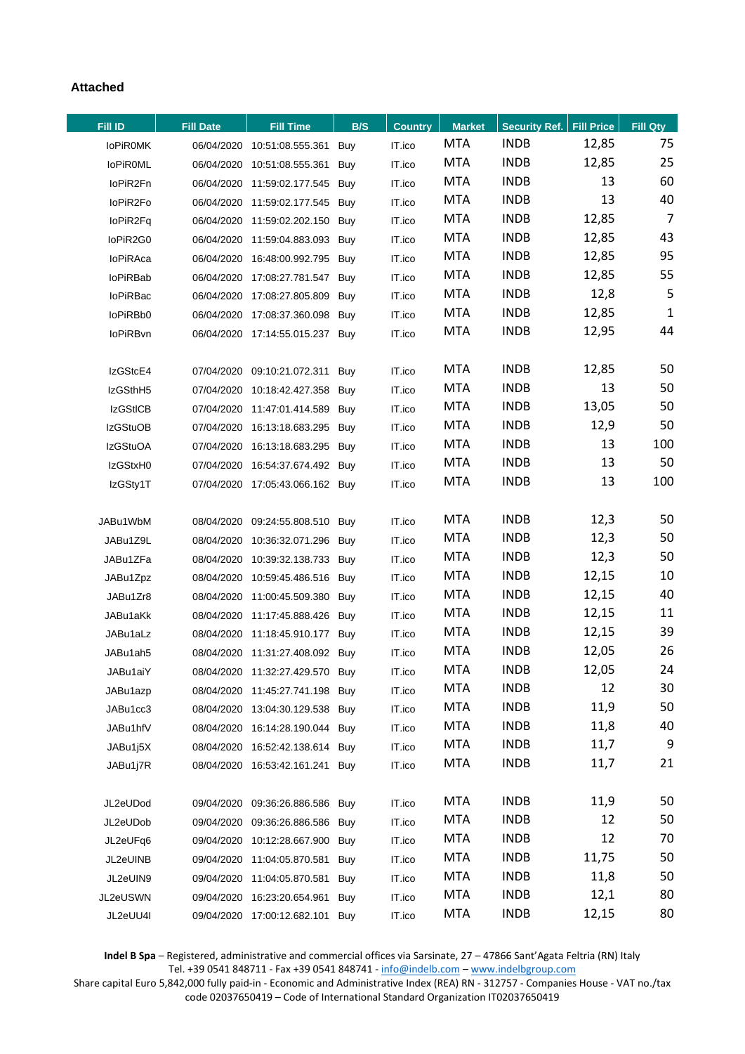## **Attached**

| Fill ID         | <b>Fill Date</b> | <b>Fill Time</b>                | B/S | <b>Country</b> | <b>Market</b> | <b>Security Ref. Fill Price</b> |       | Fill Qty       |
|-----------------|------------------|---------------------------------|-----|----------------|---------------|---------------------------------|-------|----------------|
| <b>IoPiROMK</b> |                  | 06/04/2020 10:51:08.555.361 Buy |     | IT.ico         | <b>MTA</b>    | <b>INDB</b>                     | 12,85 | 75             |
| <b>IoPiROML</b> |                  | 06/04/2020 10:51:08.555.361 Buy |     | IT.ico         | <b>MTA</b>    | <b>INDB</b>                     | 12,85 | 25             |
| loPiR2Fn        |                  | 06/04/2020 11:59:02.177.545 Buy |     | IT.ico         | <b>MTA</b>    | <b>INDB</b>                     | 13    | 60             |
| loPiR2Fo        |                  | 06/04/2020 11:59:02.177.545 Buy |     | IT.ico         | <b>MTA</b>    | <b>INDB</b>                     | 13    | 40             |
| loPiR2Fq        |                  | 06/04/2020 11:59:02.202.150 Buy |     | IT.ico         | <b>MTA</b>    | <b>INDB</b>                     | 12,85 | $\overline{7}$ |
| loPiR2G0        |                  | 06/04/2020 11:59:04.883.093 Buy |     | IT.ico         | <b>MTA</b>    | <b>INDB</b>                     | 12,85 | 43             |
| loPiRAca        |                  | 06/04/2020 16:48:00.992.795 Buy |     | IT.ico         | <b>MTA</b>    | <b>INDB</b>                     | 12,85 | 95             |
| loPiRBab        |                  | 06/04/2020 17:08:27.781.547 Buy |     | IT.ico         | <b>MTA</b>    | <b>INDB</b>                     | 12,85 | 55             |
| <b>loPiRBac</b> |                  | 06/04/2020 17:08:27.805.809 Buy |     | IT.ico         | <b>MTA</b>    | <b>INDB</b>                     | 12,8  | 5              |
| loPiRBb0        |                  | 06/04/2020 17:08:37.360.098 Buy |     | IT.ico         | MTA           | <b>INDB</b>                     | 12,85 | $\mathbf{1}$   |
| loPiRBvn        |                  | 06/04/2020 17:14:55.015.237 Buy |     | IT.ico         | <b>MTA</b>    | <b>INDB</b>                     | 12,95 | 44             |
|                 |                  |                                 |     |                |               |                                 |       |                |
| IzGStcE4        |                  | 07/04/2020 09:10:21.072.311 Buy |     | IT.ico         | <b>MTA</b>    | <b>INDB</b>                     | 12,85 | 50             |
| IzGSthH5        |                  | 07/04/2020 10:18:42.427.358 Buy |     | IT.ico         | MTA           | <b>INDB</b>                     | 13    | 50             |
| <b>IzGStICB</b> |                  | 07/04/2020 11:47:01.414.589 Buy |     | IT.ico         | <b>MTA</b>    | <b>INDB</b>                     | 13,05 | 50             |
| <b>IzGStuOB</b> |                  | 07/04/2020 16:13:18.683.295 Buy |     | IT.ico         | <b>MTA</b>    | <b>INDB</b>                     | 12,9  | 50             |
| <b>IzGStuOA</b> |                  | 07/04/2020 16:13:18.683.295 Buy |     | IT.ico         | <b>MTA</b>    | <b>INDB</b>                     | 13    | 100            |
| IzGStxH0        |                  | 07/04/2020 16:54:37.674.492 Buy |     | IT.ico         | MTA           | <b>INDB</b>                     | 13    | 50             |
| IzGSty1T        |                  | 07/04/2020 17:05:43.066.162 Buy |     | IT.ico         | <b>MTA</b>    | <b>INDB</b>                     | 13    | 100            |
|                 |                  |                                 |     |                |               |                                 |       |                |
| JABu1WbM        |                  | 08/04/2020 09:24:55.808.510 Buy |     | IT.ico         | <b>MTA</b>    | <b>INDB</b>                     | 12,3  | 50             |
| JABu1Z9L        |                  | 08/04/2020 10:36:32.071.296 Buy |     | IT.ico         | MTA           | <b>INDB</b>                     | 12,3  | 50             |
| JABu1ZFa        |                  | 08/04/2020 10:39:32.138.733 Buy |     | IT.ico         | <b>MTA</b>    | <b>INDB</b>                     | 12,3  | 50             |
| JABu1Zpz        |                  | 08/04/2020 10:59:45.486.516 Buy |     | IT.ico         | <b>MTA</b>    | <b>INDB</b>                     | 12,15 | 10             |
| JABu1Zr8        |                  | 08/04/2020 11:00:45.509.380 Buy |     | IT.ico         | <b>MTA</b>    | <b>INDB</b>                     | 12,15 | 40             |
| JABu1aKk        |                  | 08/04/2020 11:17:45.888.426 Buy |     | IT.ico         | <b>MTA</b>    | <b>INDB</b>                     | 12,15 | 11             |
| JABu1aLz        |                  | 08/04/2020 11:18:45.910.177 Buy |     | IT.ico         | <b>MTA</b>    | <b>INDB</b>                     | 12,15 | 39             |
| JABu1ah5        |                  | 08/04/2020 11:31:27.408.092 Buy |     | IT.ico         | <b>MTA</b>    | <b>INDB</b>                     | 12,05 | 26             |
| JABu1aiY        |                  | 08/04/2020 11:32:27.429.570 Buy |     | IT.ico         | <b>MTA</b>    | <b>INDB</b>                     | 12,05 | 24             |
| JABu1azp        |                  | 08/04/2020 11:45:27.741.198 Buy |     | IT.ico         | <b>MTA</b>    | <b>INDB</b>                     | 12    | 30             |
| JABu1cc3        |                  | 08/04/2020 13:04:30.129.538 Buy |     | IT.ico         | <b>MTA</b>    | <b>INDB</b>                     | 11,9  | 50             |
| JABu1hfV        |                  | 08/04/2020 16:14:28.190.044 Buy |     | IT.ico         | <b>MTA</b>    | <b>INDB</b>                     | 11,8  | 40             |
| JABu1j5X        |                  | 08/04/2020 16:52:42.138.614 Buy |     | IT.ico         | <b>MTA</b>    | <b>INDB</b>                     | 11,7  | 9              |
| JABu1j7R        |                  | 08/04/2020 16:53:42.161.241 Buy |     | IT.ico         | <b>MTA</b>    | <b>INDB</b>                     | 11,7  | 21             |
|                 |                  |                                 |     |                |               |                                 |       |                |
| JL2eUDod        | 09/04/2020       | 09:36:26.886.586 Buy            |     | IT.ico         | <b>MTA</b>    | <b>INDB</b>                     | 11,9  | 50             |
| JL2eUDob        | 09/04/2020       | 09:36:26.886.586 Buy            |     | IT.ico         | <b>MTA</b>    | <b>INDB</b>                     | 12    | 50             |
| JL2eUFq6        | 09/04/2020       | 10:12:28.667.900 Buy            |     | IT.ico         | <b>MTA</b>    | <b>INDB</b>                     | 12    | 70             |
| JL2eUINB        | 09/04/2020       | 11:04:05.870.581                | Buy | IT.ico         | <b>MTA</b>    | <b>INDB</b>                     | 11,75 | 50             |
| JL2eUIN9        | 09/04/2020       | 11:04:05.870.581 Buy            |     | IT.ico         | <b>MTA</b>    | <b>INDB</b>                     | 11,8  | 50             |
| JL2eUSWN        | 09/04/2020       | 16:23:20.654.961                | Buy | IT.ico         | <b>MTA</b>    | <b>INDB</b>                     | 12,1  | 80             |
| JL2eUU4I        |                  | 09/04/2020 17:00:12.682.101 Buy |     | IT.ico         | <b>MTA</b>    | <b>INDB</b>                     | 12,15 | 80             |

**Indel B Spa** – Registered, administrative and commercial offices via Sarsinate, 27 – 47866 Sant'Agata Feltria (RN) Italy Tel. +39 0541 848711 - Fax +39 0541 848741 - [info@indelb.com](mailto:info@indelb.com) – [www.indelbgroup.com](http://www.indelbgroup.com/)

Share capital Euro 5,842,000 fully paid-in - Economic and Administrative Index (REA) RN - 312757 - Companies House - VAT no./tax code 02037650419 – Code of International Standard Organization IT02037650419